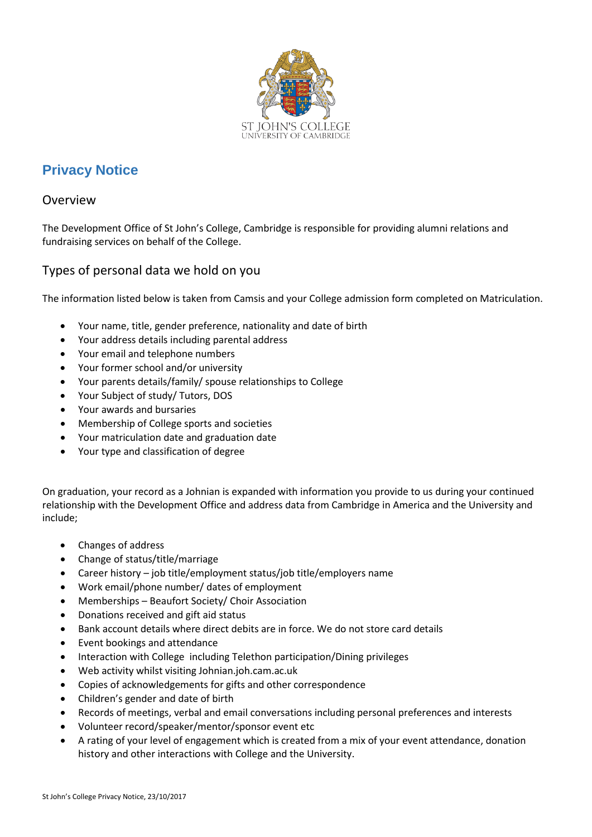

# **Privacy Notice**

## Overview

The Development Office of St John's College, Cambridge is responsible for providing alumni relations and fundraising services on behalf of the College.

## Types of personal data we hold on you

The information listed below is taken from Camsis and your College admission form completed on Matriculation.

- Your name, title, gender preference, nationality and date of birth
- Your address details including parental address
- Your email and telephone numbers
- Your former school and/or university
- Your parents details/family/ spouse relationships to College
- Your Subject of study/ Tutors, DOS
- Your awards and bursaries
- Membership of College sports and societies
- Your matriculation date and graduation date
- Your type and classification of degree

On graduation, your record as a Johnian is expanded with information you provide to us during your continued relationship with the Development Office and address data from Cambridge in America and the University and include;

- Changes of address
- Change of status/title/marriage
- Career history job title/employment status/job title/employers name
- Work email/phone number/ dates of employment
- Memberships Beaufort Society/ Choir Association
- Donations received and gift aid status
- Bank account details where direct debits are in force. We do not store card details
- Event bookings and attendance
- Interaction with College including Telethon participation/Dining privileges
- Web activity whilst visiting Johnian.joh.cam.ac.uk
- Copies of acknowledgements for gifts and other correspondence
- Children's gender and date of birth
- Records of meetings, verbal and email conversations including personal preferences and interests
- Volunteer record/speaker/mentor/sponsor event etc
- A rating of your level of engagement which is created from a mix of your event attendance, donation history and other interactions with College and the University.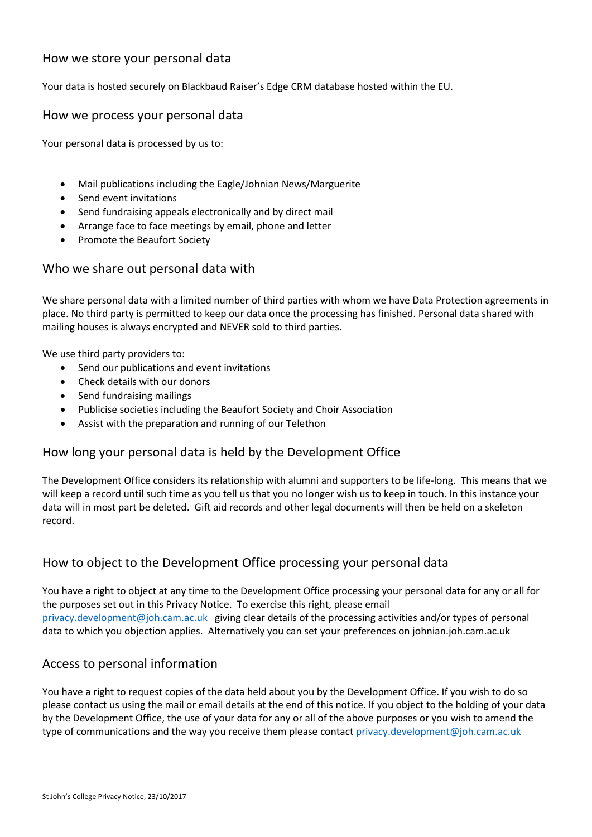## How we store your personal data

Your data is hosted securely on Blackbaud Raiser's Edge CRM database hosted within the EU.

#### How we process your personal data

Your personal data is processed by us to:

- Mail publications including the Eagle/Johnian News/Marguerite
- Send event invitations
- Send fundraising appeals electronically and by direct mail
- Arrange face to face meetings by email, phone and letter
- Promote the Beaufort Society

#### Who we share out personal data with

We share personal data with a limited number of third parties with whom we have Data Protection agreements in place. No third party is permitted to keep our data once the processing has finished. Personal data shared with mailing houses is always encrypted and NEVER sold to third parties.

We use third party providers to:

- Send our publications and event invitations
- Check details with our donors
- Send fundraising mailings
- Publicise societies including the Beaufort Society and Choir Association
- Assist with the preparation and running of our Telethon

## How long your personal data is held by the Development Office

The Development Office considers its relationship with alumni and supporters to be life-long. This means that we will keep a record until such time as you tell us that you no longer wish us to keep in touch. In this instance your data will in most part be deleted. Gift aid records and other legal documents will then be held on a skeleton record.

## How to object to the Development Office processing your personal data

You have a right to object at any time to the Development Office processing your personal data for any or all for the purposes set out in this Privacy Notice. To exercise this right, please email [privacy.development@joh.cam.ac.uk](mailto:privacy.development@joh.cam.ac.uk) giving clear details of the processing activities and/or types of personal data to which you objection applies. Alternatively you can set your preferences on johnian.joh.cam.ac.uk

## Access to personal information

You have a right to request copies of the data held about you by the Development Office. If you wish to do so please contact us using the mail or email details at the end of this notice. If you object to the holding of your data by the Development Office, the use of your data for any or all of the above purposes or you wish to amend the type of communications and the way you receive them please contact privacy.development@joh.cam.ac.uk